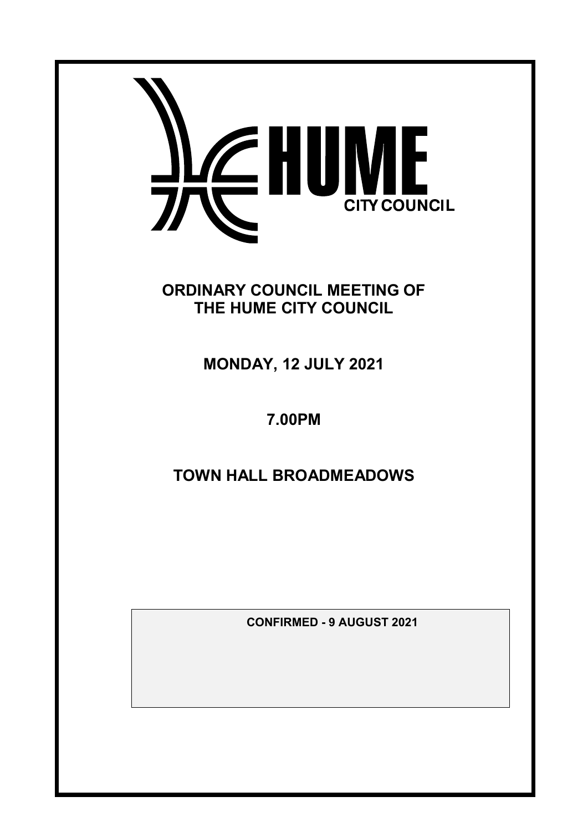

**ORDINARY COUNCIL MEETING OF THE HUME CITY COUNCIL**

**MONDAY, 12 JULY 2021**

# **7.00PM**

# **TOWN HALL BROADMEADOWS**

**CONFIRMED - 9 AUGUST 2021**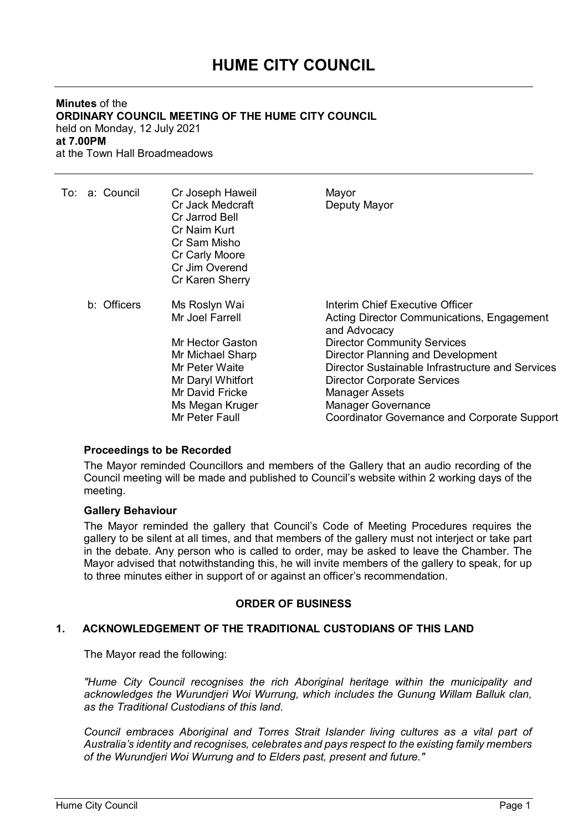# **HUME CITY COUNCIL**

#### **Minutes** of the **ORDINARY COUNCIL MEETING OF THE HUME CITY COUNCIL** held on Monday, 12 July 2021 **at 7.00PM** at the Town Hall Broadmeadows

|  | To: a: Council | Cr Joseph Haweil<br>Cr Jack Medcraft<br>Cr Jarrod Bell<br>Cr Naim Kurt<br>Cr Sam Misho<br>Cr Carly Moore<br>Cr Jim Overend<br>Cr Karen Sherry | Mayor<br>Deputy Mayor                                                                                                                                                                                                                                                                                                    |
|--|----------------|-----------------------------------------------------------------------------------------------------------------------------------------------|--------------------------------------------------------------------------------------------------------------------------------------------------------------------------------------------------------------------------------------------------------------------------------------------------------------------------|
|  | b: Officers    | Ms Roslyn Wai<br>Mr Joel Farrell<br>Mr Hector Gaston<br>Mr Michael Sharp<br>Mr Peter Waite<br>Mr Daryl Whitfort<br>Mr David Fricke            | Interim Chief Executive Officer<br>Acting Director Communications, Engagement<br>and Advocacy<br><b>Director Community Services</b><br>Director Planning and Development<br>Director Sustainable Infrastructure and Services<br><b>Director Corporate Services</b><br><b>Manager Assets</b><br><b>Manager Governance</b> |
|  |                | Ms Megan Kruger<br>Mr Peter Faull                                                                                                             | <b>Coordinator Governance and Corporate Support</b>                                                                                                                                                                                                                                                                      |
|  |                |                                                                                                                                               |                                                                                                                                                                                                                                                                                                                          |

## **Proceedings to be Recorded**

The Mayor reminded Councillors and members of the Gallery that an audio recording of the Council meeting will be made and published to Council's website within 2 working days of the meeting.

#### **Gallery Behaviour**

The Mayor reminded the gallery that Council's Code of Meeting Procedures requires the gallery to be silent at all times, and that members of the gallery must not interject or take part in the debate. Any person who is called to order, may be asked to leave the Chamber. The Mayor advised that notwithstanding this, he will invite members of the gallery to speak, for up to three minutes either in support of or against an officer's recommendation.

## **ORDER OF BUSINESS**

## **1. ACKNOWLEDGEMENT OF THE TRADITIONAL CUSTODIANS OF THIS LAND**

The Mayor read the following:

*"Hume City Council recognises the rich Aboriginal heritage within the municipality and acknowledges the Wurundjeri Woi Wurrung, which includes the Gunung Willam Balluk clan, as the Traditional Custodians of this land.*

*Council embraces Aboriginal and Torres Strait Islander living cultures as a vital part of Australia's identity and recognises, celebrates and pays respect to the existing family members of the Wurundjeri Woi Wurrung and to Elders past, present and future."*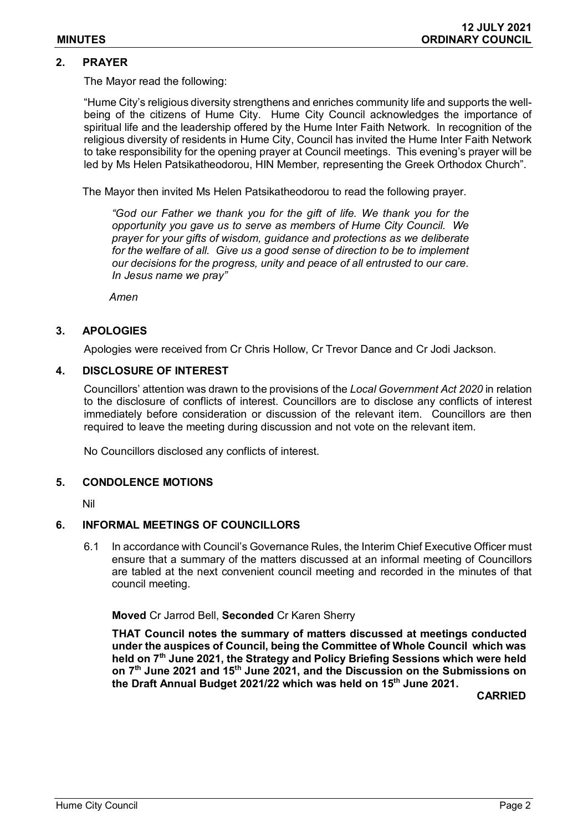## **2. PRAYER**

The Mayor read the following:

"Hume City's religious diversity strengthens and enriches community life and supports the wellbeing of the citizens of Hume City. Hume City Council acknowledges the importance of spiritual life and the leadership offered by the Hume Inter Faith Network. In recognition of the religious diversity of residents in Hume City, Council has invited the Hume Inter Faith Network to take responsibility for the opening prayer at Council meetings. This evening's prayer will be led by Ms Helen Patsikatheodorou, HIN Member*,* representing the Greek Orthodox Church".

The Mayor then invited Ms Helen Patsikatheodorou to read the following prayer.

*"God our Father we thank you for the gift of life. We thank you for the opportunity you gave us to serve as members of Hume City Council. We prayer for your gifts of wisdom, guidance and protections as we deliberate for the welfare of all. Give us a good sense of direction to be to implement our decisions for the progress, unity and peace of all entrusted to our care. In Jesus name we pray"*

*Amen*

## **3. APOLOGIES**

Apologies were received from Cr Chris Hollow, Cr Trevor Dance and Cr Jodi Jackson.

### **4. DISCLOSURE OF INTEREST**

Councillors' attention was drawn to the provisions of the *Local Government Act 2020* in relation to the disclosure of conflicts of interest. Councillors are to disclose any conflicts of interest immediately before consideration or discussion of the relevant item. Councillors are then required to leave the meeting during discussion and not vote on the relevant item.

No Councillors disclosed any conflicts of interest.

#### **5. CONDOLENCE MOTIONS**

Nil

#### **6. INFORMAL MEETINGS OF COUNCILLORS**

6.1 In accordance with Council's Governance Rules, the Interim Chief Executive Officer must ensure that a summary of the matters discussed at an informal meeting of Councillors are tabled at the next convenient council meeting and recorded in the minutes of that council meeting.

**Moved** Cr Jarrod Bell, **Seconded** Cr Karen Sherry

**THAT Council notes the summary of matters discussed at meetings conducted under the auspices of Council, being the Committee of Whole Council which was held on 7th June 2021, the Strategy and Policy Briefing Sessions which were held on 7th June 2021 and 15th June 2021, and the Discussion on the Submissions on the Draft Annual Budget 2021/22 which was held on 15th June 2021.**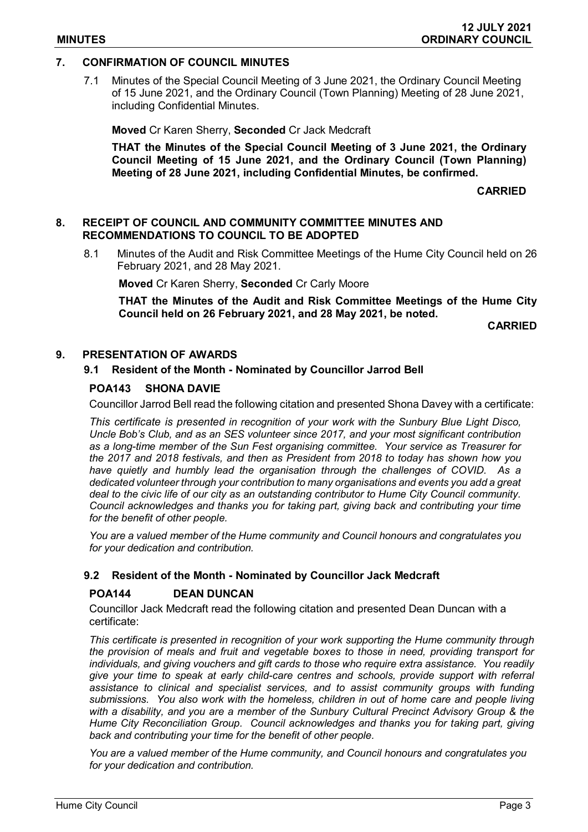## **7. CONFIRMATION OF COUNCIL MINUTES**

7.1 Minutes of the Special Council Meeting of 3 June 2021, the Ordinary Council Meeting of 15 June 2021, and the Ordinary Council (Town Planning) Meeting of 28 June 2021, including Confidential Minutes.

**Moved** Cr Karen Sherry, **Seconded** Cr Jack Medcraft

**THAT the Minutes of the Special Council Meeting of 3 June 2021, the Ordinary Council Meeting of 15 June 2021, and the Ordinary Council (Town Planning) Meeting of 28 June 2021, including Confidential Minutes, be confirmed.**

**CARRIED**

### **8. RECEIPT OF COUNCIL AND COMMUNITY COMMITTEE MINUTES AND RECOMMENDATIONS TO COUNCIL TO BE ADOPTED**

8.1 Minutes of the Audit and Risk Committee Meetings of the Hume City Council held on 26 February 2021, and 28 May 2021.

**Moved** Cr Karen Sherry, **Seconded** Cr Carly Moore

**THAT the Minutes of the Audit and Risk Committee Meetings of the Hume City Council held on 26 February 2021, and 28 May 2021, be noted.**

**CARRIED**

## **9. PRESENTATION OF AWARDS**

### **9.1 Resident of the Month - Nominated by Councillor Jarrod Bell**

## **POA143 SHONA DAVIE**

Councillor Jarrod Bell read the following citation and presented Shona Davey with a certificate:

*This certificate is presented in recognition of your work with the Sunbury Blue Light Disco, Uncle Bob's Club, and as an SES volunteer since 2017, and your most significant contribution as a long-time member of the Sun Fest organising committee. Your service as Treasurer for the 2017 and 2018 festivals, and then as President from 2018 to today has shown how you have quietly and humbly lead the organisation through the challenges of COVID. As a dedicated volunteer through your contribution to many organisations and events you add a great deal to the civic life of our city as an outstanding contributor to Hume City Council community. Council acknowledges and thanks you for taking part, giving back and contributing your time for the benefit of other people.*

*You are a valued member of the Hume community and Council honours and congratulates you for your dedication and contribution.*

#### **9.2 Resident of the Month - Nominated by Councillor Jack Medcraft**

## **POA144 DEAN DUNCAN**

Councillor Jack Medcraft read the following citation and presented Dean Duncan with a certificate:

*This certificate is presented in recognition of your work supporting the Hume community through the provision of meals and fruit and vegetable boxes to those in need, providing transport for individuals, and giving vouchers and gift cards to those who require extra assistance. You readily give your time to speak at early child-care centres and schools, provide support with referral assistance to clinical and specialist services, and to assist community groups with funding submissions. You also work with the homeless, children in out of home care and people living with a disability, and you are a member of the Sunbury Cultural Precinct Advisory Group & the Hume City Reconciliation Group. Council acknowledges and thanks you for taking part, giving back and contributing your time for the benefit of other people.*

*You are a valued member of the Hume community, and Council honours and congratulates you for your dedication and contribution.*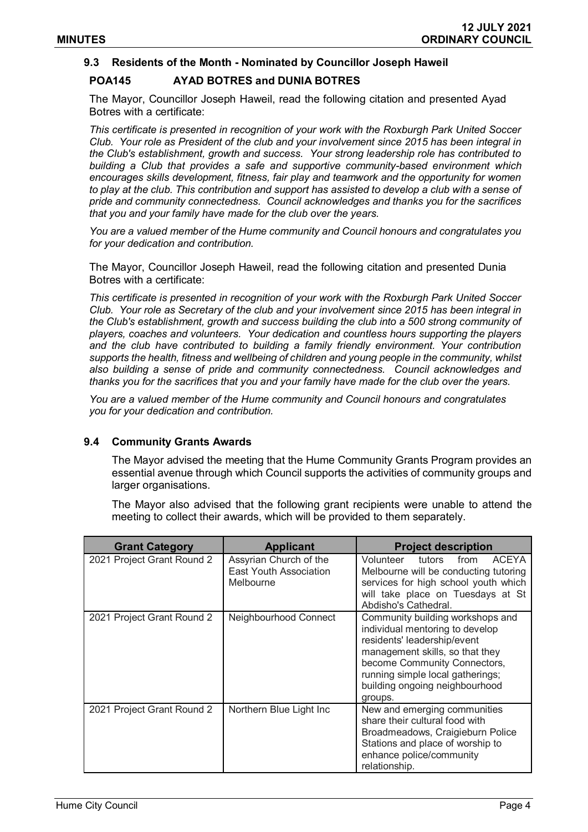## **9.3 Residents of the Month - Nominated by Councillor Joseph Haweil**

## **POA145 AYAD BOTRES and DUNIA BOTRES**

The Mayor, Councillor Joseph Haweil, read the following citation and presented Ayad Botres with a certificate:

*This certificate is presented in recognition of your work with the Roxburgh Park United Soccer Club. Your role as President of the club and your involvement since 2015 has been integral in the Club's establishment, growth and success. Your strong leadership role has contributed to building a Club that provides a safe and supportive community-based environment which encourages skills development, fitness, fair play and teamwork and the opportunity for women to play at the club. This contribution and support has assisted to develop a club with a sense of pride and community connectedness. Council acknowledges and thanks you for the sacrifices that you and your family have made for the club over the years.* 

*You are a valued member of the Hume community and Council honours and congratulates you for your dedication and contribution.*

The Mayor, Councillor Joseph Haweil, read the following citation and presented Dunia Botres with a certificate:

*This certificate is presented in recognition of your work with the Roxburgh Park United Soccer Club. Your role as Secretary of the club and your involvement since 2015 has been integral in the Club's establishment, growth and success building the club into a 500 strong community of players, coaches and volunteers. Your dedication and countless hours supporting the players and the club have contributed to building a family friendly environment. Your contribution supports the health, fitness and wellbeing of children and young people in the community, whilst also building a sense of pride and community connectedness. Council acknowledges and thanks you for the sacrifices that you and your family have made for the club over the years.* 

*You are a valued member of the Hume community and Council honours and congratulates you for your dedication and contribution.*

### **9.4 Community Grants Awards**

The Mayor advised the meeting that the Hume Community Grants Program provides an essential avenue through which Council supports the activities of community groups and larger organisations.

The Mayor also advised that the following grant recipients were unable to attend the meeting to collect their awards, which will be provided to them separately.

| <b>Grant Category</b>      | <b>Applicant</b>                                                     | <b>Project description</b>                                                                                                                                                                                                                             |
|----------------------------|----------------------------------------------------------------------|--------------------------------------------------------------------------------------------------------------------------------------------------------------------------------------------------------------------------------------------------------|
| 2021 Project Grant Round 2 | Assyrian Church of the<br><b>East Youth Association</b><br>Melbourne | Volunteer<br>tutors<br><b>ACEYA</b><br>from<br>Melbourne will be conducting tutoring<br>services for high school youth which<br>will take place on Tuesdays at St<br>Abdisho's Cathedral.                                                              |
| 2021 Project Grant Round 2 | Neighbourhood Connect                                                | Community building workshops and<br>individual mentoring to develop<br>residents' leadership/event<br>management skills, so that they<br>become Community Connectors,<br>running simple local gatherings;<br>building ongoing neighbourhood<br>groups. |
| 2021 Project Grant Round 2 | Northern Blue Light Inc                                              | New and emerging communities<br>share their cultural food with<br>Broadmeadows, Craigieburn Police<br>Stations and place of worship to<br>enhance police/community<br>relationship.                                                                    |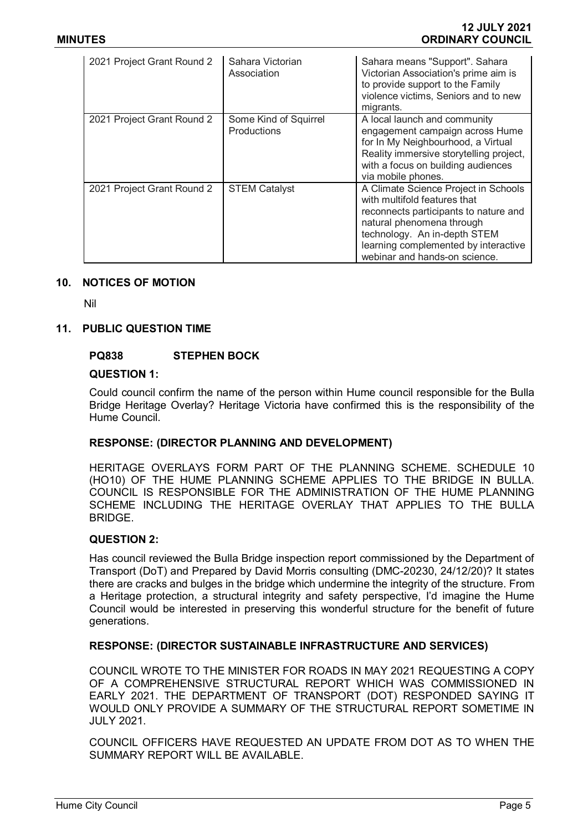| 2021 Project Grant Round 2 | Sahara Victorian<br>Association             | Sahara means "Support". Sahara<br>Victorian Association's prime aim is<br>to provide support to the Family<br>violence victims, Seniors and to new<br>migrants.                                                                                     |
|----------------------------|---------------------------------------------|-----------------------------------------------------------------------------------------------------------------------------------------------------------------------------------------------------------------------------------------------------|
| 2021 Project Grant Round 2 | Some Kind of Squirrel<br><b>Productions</b> | A local launch and community<br>engagement campaign across Hume<br>for In My Neighbourhood, a Virtual<br>Reality immersive storytelling project,<br>with a focus on building audiences<br>via mobile phones.                                        |
| 2021 Project Grant Round 2 | <b>STEM Catalyst</b>                        | A Climate Science Project in Schools<br>with multifold features that<br>reconnects participants to nature and<br>natural phenomena through<br>technology. An in-depth STEM<br>learning complemented by interactive<br>webinar and hands-on science. |

### **10. NOTICES OF MOTION**

Nil

### **11. PUBLIC QUESTION TIME**

### **PQ838 STEPHEN BOCK**

#### **QUESTION 1:**

Could council confirm the name of the person within Hume council responsible for the Bulla Bridge Heritage Overlay? Heritage Victoria have confirmed this is the responsibility of the Hume Council.

## **RESPONSE: (DIRECTOR PLANNING AND DEVELOPMENT)**

HERITAGE OVERLAYS FORM PART OF THE PLANNING SCHEME. SCHEDULE 10 (HO10) OF THE HUME PLANNING SCHEME APPLIES TO THE BRIDGE IN BULLA. COUNCIL IS RESPONSIBLE FOR THE ADMINISTRATION OF THE HUME PLANNING SCHEME INCLUDING THE HERITAGE OVERLAY THAT APPLIES TO THE BULLA **BRIDGE** 

### **QUESTION 2:**

Has council reviewed the Bulla Bridge inspection report commissioned by the Department of Transport (DoT) and Prepared by David Morris consulting (DMC-20230, 24/12/20)? It states there are cracks and bulges in the bridge which undermine the integrity of the structure. From a Heritage protection, a structural integrity and safety perspective, I'd imagine the Hume Council would be interested in preserving this wonderful structure for the benefit of future generations.

## **RESPONSE: (DIRECTOR SUSTAINABLE INFRASTRUCTURE AND SERVICES)**

COUNCIL WROTE TO THE MINISTER FOR ROADS IN MAY 2021 REQUESTING A COPY OF A COMPREHENSIVE STRUCTURAL REPORT WHICH WAS COMMISSIONED IN EARLY 2021. THE DEPARTMENT OF TRANSPORT (DOT) RESPONDED SAYING IT WOULD ONLY PROVIDE A SUMMARY OF THE STRUCTURAL REPORT SOMETIME IN JULY 2021.

COUNCIL OFFICERS HAVE REQUESTED AN UPDATE FROM DOT AS TO WHEN THE SUMMARY REPORT WILL BE AVAILABLE.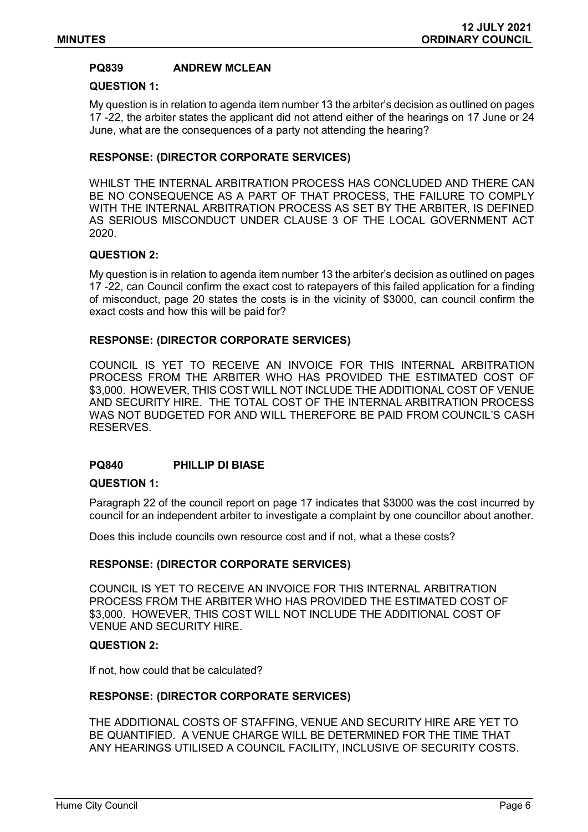## **PQ839 ANDREW MCLEAN**

#### **QUESTION 1:**

My question is in relation to agenda item number 13 the arbiter's decision as outlined on pages 17 -22, the arbiter states the applicant did not attend either of the hearings on 17 June or 24 June, what are the consequences of a party not attending the hearing?

## **RESPONSE: (DIRECTOR CORPORATE SERVICES)**

WHILST THE INTERNAL ARBITRATION PROCESS HAS CONCLUDED AND THERE CAN BE NO CONSEQUENCE AS A PART OF THAT PROCESS, THE FAILURE TO COMPLY WITH THE INTERNAL ARBITRATION PROCESS AS SET BY THE ARBITER, IS DEFINED AS SERIOUS MISCONDUCT UNDER CLAUSE 3 OF THE LOCAL GOVERNMENT ACT 2020.

## **QUESTION 2:**

My question is in relation to agenda item number 13 the arbiter's decision as outlined on pages 17 -22, can Council confirm the exact cost to ratepayers of this failed application for a finding of misconduct, page 20 states the costs is in the vicinity of \$3000, can council confirm the exact costs and how this will be paid for?

### **RESPONSE: (DIRECTOR CORPORATE SERVICES)**

COUNCIL IS YET TO RECEIVE AN INVOICE FOR THIS INTERNAL ARBITRATION PROCESS FROM THE ARBITER WHO HAS PROVIDED THE ESTIMATED COST OF \$3,000. HOWEVER, THIS COST WILL NOT INCLUDE THE ADDITIONAL COST OF VENUE AND SECURITY HIRE. THE TOTAL COST OF THE INTERNAL ARBITRATION PROCESS WAS NOT BUDGETED FOR AND WILL THEREFORE BE PAID FROM COUNCIL'S CASH RESERVES.

## **PQ840 PHILLIP DI BIASE**

#### **QUESTION 1:**

Paragraph 22 of the council report on page 17 indicates that \$3000 was the cost incurred by council for an independent arbiter to investigate a complaint by one councillor about another.

Does this include councils own resource cost and if not, what a these costs?

#### **RESPONSE: (DIRECTOR CORPORATE SERVICES)**

COUNCIL IS YET TO RECEIVE AN INVOICE FOR THIS INTERNAL ARBITRATION PROCESS FROM THE ARBITER WHO HAS PROVIDED THE ESTIMATED COST OF \$3,000. HOWEVER, THIS COST WILL NOT INCLUDE THE ADDITIONAL COST OF VENUE AND SECURITY HIRE.

#### **QUESTION 2:**

If not, how could that be calculated?

#### **RESPONSE: (DIRECTOR CORPORATE SERVICES)**

THE ADDITIONAL COSTS OF STAFFING, VENUE AND SECURITY HIRE ARE YET TO BE QUANTIFIED. A VENUE CHARGE WILL BE DETERMINED FOR THE TIME THAT ANY HEARINGS UTILISED A COUNCIL FACILITY, INCLUSIVE OF SECURITY COSTS.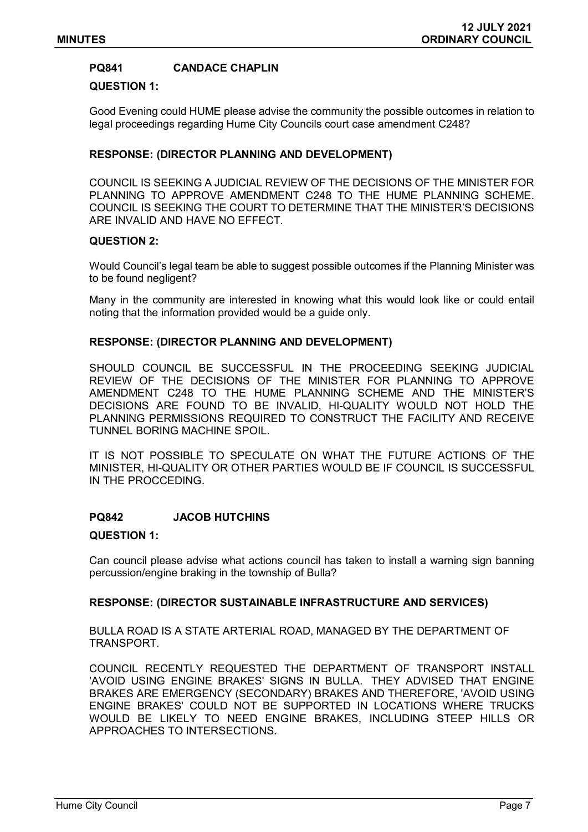## **PQ841 CANDACE CHAPLIN**

#### **QUESTION 1:**

Good Evening could HUME please advise the community the possible outcomes in relation to legal proceedings regarding Hume City Councils court case amendment C248?

### **RESPONSE: (DIRECTOR PLANNING AND DEVELOPMENT)**

COUNCIL IS SEEKING A JUDICIAL REVIEW OF THE DECISIONS OF THE MINISTER FOR PLANNING TO APPROVE AMENDMENT C248 TO THE HUME PLANNING SCHEME. COUNCIL IS SEEKING THE COURT TO DETERMINE THAT THE MINISTER'S DECISIONS ARE INVALID AND HAVE NO EFFECT.

### **QUESTION 2:**

Would Council's legal team be able to suggest possible outcomes if the Planning Minister was to be found negligent?

Many in the community are interested in knowing what this would look like or could entail noting that the information provided would be a guide only.

### **RESPONSE: (DIRECTOR PLANNING AND DEVELOPMENT)**

SHOULD COUNCIL BE SUCCESSFUL IN THE PROCEEDING SEEKING JUDICIAL REVIEW OF THE DECISIONS OF THE MINISTER FOR PLANNING TO APPROVE AMENDMENT C248 TO THE HUME PLANNING SCHEME AND THE MINISTER'S DECISIONS ARE FOUND TO BE INVALID, HI-QUALITY WOULD NOT HOLD THE PLANNING PERMISSIONS REQUIRED TO CONSTRUCT THE FACILITY AND RECEIVE TUNNEL BORING MACHINE SPOIL.

IT IS NOT POSSIBLE TO SPECULATE ON WHAT THE FUTURE ACTIONS OF THE MINISTER, HI-QUALITY OR OTHER PARTIES WOULD BE IF COUNCIL IS SUCCESSFUL IN THE PROCCEDING.

## **PQ842 JACOB HUTCHINS**

#### **QUESTION 1:**

Can council please advise what actions council has taken to install a warning sign banning percussion/engine braking in the township of Bulla?

### **RESPONSE: (DIRECTOR SUSTAINABLE INFRASTRUCTURE AND SERVICES)**

BULLA ROAD IS A STATE ARTERIAL ROAD, MANAGED BY THE DEPARTMENT OF TRANSPORT.

COUNCIL RECENTLY REQUESTED THE DEPARTMENT OF TRANSPORT INSTALL 'AVOID USING ENGINE BRAKES' SIGNS IN BULLA. THEY ADVISED THAT ENGINE BRAKES ARE EMERGENCY (SECONDARY) BRAKES AND THEREFORE, 'AVOID USING ENGINE BRAKES' COULD NOT BE SUPPORTED IN LOCATIONS WHERE TRUCKS WOULD BE LIKELY TO NEED ENGINE BRAKES, INCLUDING STEEP HILLS OR APPROACHES TO INTERSECTIONS.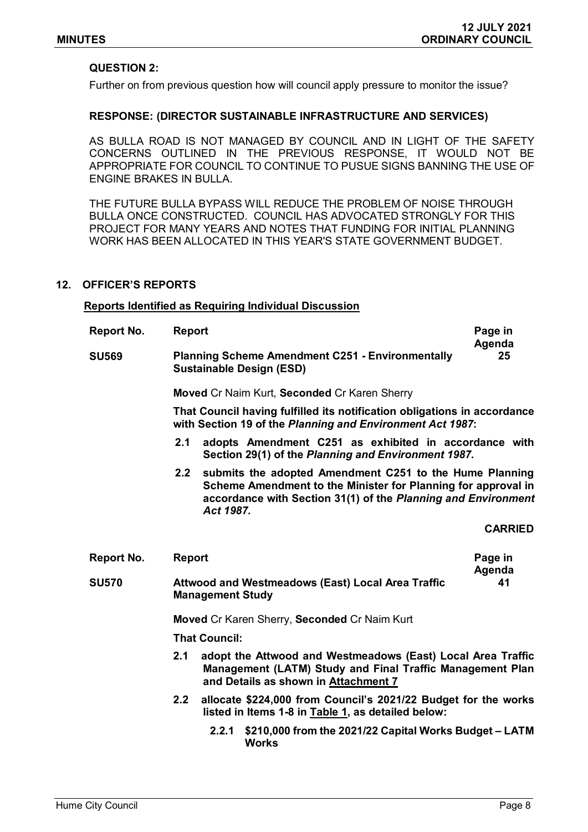## **QUESTION 2:**

Further on from previous question how will council apply pressure to monitor the issue?

#### **RESPONSE: (DIRECTOR SUSTAINABLE INFRASTRUCTURE AND SERVICES)**

AS BULLA ROAD IS NOT MANAGED BY COUNCIL AND IN LIGHT OF THE SAFETY CONCERNS OUTLINED IN THE PREVIOUS RESPONSE, IT WOULD NOT BE APPROPRIATE FOR COUNCIL TO CONTINUE TO PUSUE SIGNS BANNING THE USE OF ENGINE BRAKES IN BULLA.

THE FUTURE BULLA BYPASS WILL REDUCE THE PROBLEM OF NOISE THROUGH BULLA ONCE CONSTRUCTED. COUNCIL HAS ADVOCATED STRONGLY FOR THIS PROJECT FOR MANY YEARS AND NOTES THAT FUNDING FOR INITIAL PLANNING WORK HAS BEEN ALLOCATED IN THIS YEAR'S STATE GOVERNMENT BUDGET.

#### **12. OFFICER'S REPORTS**

#### **Reports Identified as Requiring Individual Discussion**

| <b>Report No.</b> | <b>Report</b>                                                                                              |                                                                                                                                                                                                        | Page in           |  |
|-------------------|------------------------------------------------------------------------------------------------------------|--------------------------------------------------------------------------------------------------------------------------------------------------------------------------------------------------------|-------------------|--|
| <b>SU569</b>      | Agenda<br><b>Planning Scheme Amendment C251 - Environmentally</b><br>25<br><b>Sustainable Design (ESD)</b> |                                                                                                                                                                                                        |                   |  |
|                   |                                                                                                            | Moved Cr Naim Kurt, Seconded Cr Karen Sherry                                                                                                                                                           |                   |  |
|                   |                                                                                                            | That Council having fulfilled its notification obligations in accordance<br>with Section 19 of the Planning and Environment Act 1987:                                                                  |                   |  |
|                   | 2.1                                                                                                        | adopts Amendment C251 as exhibited in accordance with<br>Section 29(1) of the Planning and Environment 1987.                                                                                           |                   |  |
|                   | 2.2                                                                                                        | submits the adopted Amendment C251 to the Hume Planning<br>Scheme Amendment to the Minister for Planning for approval in<br>accordance with Section 31(1) of the Planning and Environment<br>Act 1987. |                   |  |
|                   |                                                                                                            |                                                                                                                                                                                                        | <b>CARRIED</b>    |  |
| <b>Report No.</b> | <b>Report</b>                                                                                              |                                                                                                                                                                                                        | Page in<br>Agenda |  |
| <b>SU570</b>      |                                                                                                            | <b>Attwood and Westmeadows (East) Local Area Traffic</b><br><b>Management Study</b>                                                                                                                    | 41                |  |
|                   |                                                                                                            | Moved Cr Karen Sherry, Seconded Cr Naim Kurt                                                                                                                                                           |                   |  |
|                   | <b>That Council:</b>                                                                                       |                                                                                                                                                                                                        |                   |  |
|                   | 2.1                                                                                                        | adopt the Attwood and Westmeadows (East) Local Area Traffic<br>Management (LATM) Study and Final Traffic Management Plan<br>and Details as shown in Attachment 7                                       |                   |  |
|                   | 2.2                                                                                                        | allocate \$224,000 from Council's 2021/22 Budget for the works<br>listed in Items 1-8 in Table 1, as detailed below:                                                                                   |                   |  |
|                   |                                                                                                            | \$210,000 from the 2021/22 Capital Works Budget - LATM<br>2.2.1<br><b>Works</b>                                                                                                                        |                   |  |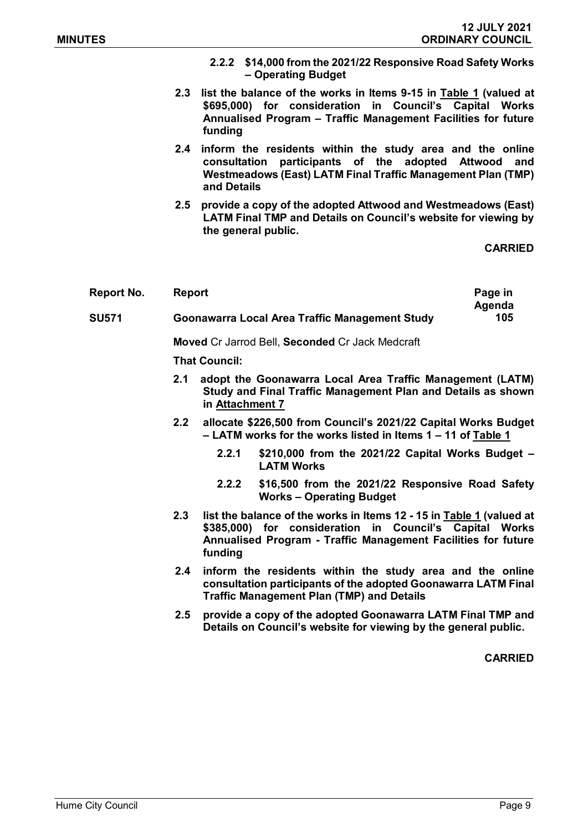- **2.2.2 \$14,000 from the 2021/22 Responsive Road Safety Works – Operating Budget**
- **2.3 list the balance of the works in Items 9-15 in Table 1 (valued at \$695,000) for consideration in Council's Capital Works Annualised Program – Traffic Management Facilities for future funding**
- **2.4 inform the residents within the study area and the online consultation participants of the adopted Attwood and Westmeadows (East) LATM Final Traffic Management Plan (TMP) and Details**
- **2.5 provide a copy of the adopted Attwood and Westmeadows (East) LATM Final TMP and Details on Council's website for viewing by the general public.**

**CARRIED**

| Report No.   | <b>Report</b>                                         | Page in |
|--------------|-------------------------------------------------------|---------|
|              |                                                       | Agenda  |
| <b>SU571</b> | <b>Goonawarra Local Area Traffic Management Study</b> | 105     |

**Moved** Cr Jarrod Bell, **Seconded** Cr Jack Medcraft

**That Council:**

- **2.1 adopt the Goonawarra Local Area Traffic Management (LATM) Study and Final Traffic Management Plan and Details as shown in Attachment 7**
- **2.2 allocate \$226,500 from Council's 2021/22 Capital Works Budget – LATM works for the works listed in Items 1 – 11 of Table 1**
	- **2.2.1 \$210,000 from the 2021/22 Capital Works Budget – LATM Works**
	- **2.2.2 \$16,500 from the 2021/22 Responsive Road Safety Works – Operating Budget**
- **2.3 list the balance of the works in Items 12 - 15 in Table 1 (valued at \$385,000) for consideration in Council's Capital Works Annualised Program - Traffic Management Facilities for future funding**
- **2.4 inform the residents within the study area and the online consultation participants of the adopted Goonawarra LATM Final Traffic Management Plan (TMP) and Details**
- **2.5 provide a copy of the adopted Goonawarra LATM Final TMP and Details on Council's website for viewing by the general public.**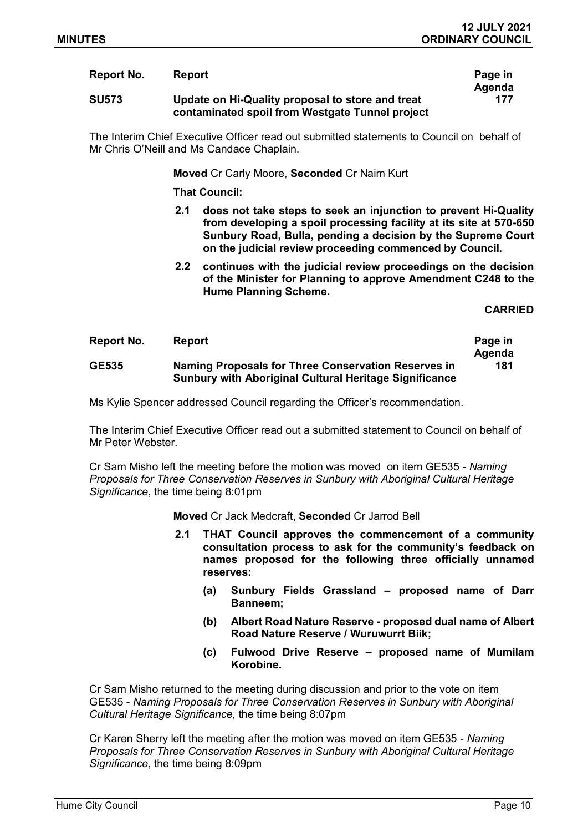#### **Report No. Report Page in**

# **SU573 Update on Hi-Quality proposal to store and treat contaminated spoil from Westgate Tunnel project**

The Interim Chief Executive Officer read out submitted statements to Council on behalf of Mr Chris O'Neill and Ms Candace Chaplain.

**Moved** Cr Carly Moore, **Seconded** Cr Naim Kurt

**That Council:**

- **2.1 does not take steps to seek an injunction to prevent Hi-Quality from developing a spoil processing facility at its site at 570-650 Sunbury Road, Bulla, pending a decision by the Supreme Court on the judicial review proceeding commenced by Council.**
- **2.2 continues with the judicial review proceedings on the decision of the Minister for Planning to approve Amendment C248 to the Hume Planning Scheme.**

**CARRIED**

| Report No.   | <b>Report</b>                                                                                                        | Page in |
|--------------|----------------------------------------------------------------------------------------------------------------------|---------|
|              |                                                                                                                      | Agenda  |
| <b>GE535</b> | Naming Proposals for Three Conservation Reserves in<br><b>Sunbury with Aboriginal Cultural Heritage Significance</b> | 181     |

Ms Kylie Spencer addressed Council regarding the Officer's recommendation.

The Interim Chief Executive Officer read out a submitted statement to Council on behalf of Mr Peter Webster.

Cr Sam Misho left the meeting before the motion was moved on item GE535 - *Naming Proposals for Three Conservation Reserves in Sunbury with Aboriginal Cultural Heritage Significance*, the time being 8:01pm

**Moved** Cr Jack Medcraft, **Seconded** Cr Jarrod Bell

- **2.1 THAT Council approves the commencement of a community consultation process to ask for the community's feedback on names proposed for the following three officially unnamed reserves:**
	- **(a) Sunbury Fields Grassland – proposed name of Darr Banneem;**
	- **(b) Albert Road Nature Reserve - proposed dual name of Albert Road Nature Reserve / Wuruwurrt Biik;**
	- **(c) Fulwood Drive Reserve – proposed name of Mumilam Korobine.**

Cr Sam Misho returned to the meeting during discussion and prior to the vote on item GE535 - *Naming Proposals for Three Conservation Reserves in Sunbury with Aboriginal Cultural Heritage Significance*, the time being 8:07pm

Cr Karen Sherry left the meeting after the motion was moved on item GE535 - *Naming Proposals for Three Conservation Reserves in Sunbury with Aboriginal Cultural Heritage Significance*, the time being 8:09pm

**Agenda 177**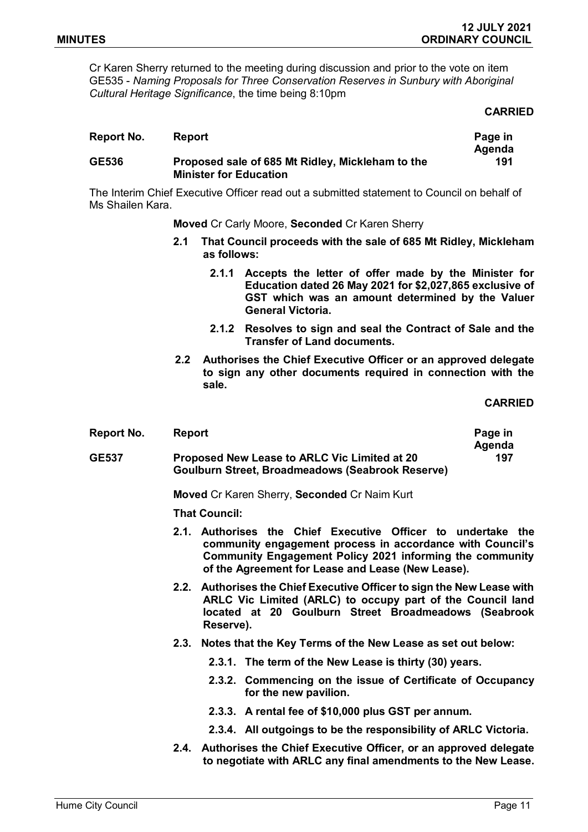Cr Karen Sherry returned to the meeting during discussion and prior to the vote on item GE535 - *Naming Proposals for Three Conservation Reserves in Sunbury with Aboriginal Cultural Heritage Significance*, the time being 8:10pm

#### **CARRIED**

| Report No.   | <b>Report</b>                                                                     | Page in       |
|--------------|-----------------------------------------------------------------------------------|---------------|
| <b>GE536</b> | Proposed sale of 685 Mt Ridley, Mickleham to the<br><b>Minister for Education</b> | Agenda<br>191 |

The Interim Chief Executive Officer read out a submitted statement to Council on behalf of Ms Shailen Kara.

**Moved** Cr Carly Moore, **Seconded** Cr Karen Sherry

- **2.1 That Council proceeds with the sale of 685 Mt Ridley, Mickleham as follows:**
	- **2.1.1 Accepts the letter of offer made by the Minister for Education dated 26 May 2021 for \$2,027,865 exclusive of GST which was an amount determined by the Valuer General Victoria.**
	- **2.1.2 Resolves to sign and seal the Contract of Sale and the Transfer of Land documents.**
- **2.2 Authorises the Chief Executive Officer or an approved delegate to sign any other documents required in connection with the sale.**

**CARRIED**

| Report No.   | <b>Report</b>                                           | Page in |
|--------------|---------------------------------------------------------|---------|
|              |                                                         | Agenda  |
| <b>GE537</b> | <b>Proposed New Lease to ARLC Vic Limited at 20</b>     | 197     |
|              | <b>Goulburn Street, Broadmeadows (Seabrook Reserve)</b> |         |

**Moved** Cr Karen Sherry, **Seconded** Cr Naim Kurt

**That Council:**

- **2.1. Authorises the Chief Executive Officer to undertake the community engagement process in accordance with Council's Community Engagement Policy 2021 informing the community of the Agreement for Lease and Lease (New Lease).**
- **2.2. Authorises the Chief Executive Officer to sign the New Lease with ARLC Vic Limited (ARLC) to occupy part of the Council land located at 20 Goulburn Street Broadmeadows (Seabrook Reserve).**
- **2.3. Notes that the Key Terms of the New Lease as set out below:**
	- **2.3.1. The term of the New Lease is thirty (30) years.**
	- **2.3.2. Commencing on the issue of Certificate of Occupancy for the new pavilion.**
	- **2.3.3. A rental fee of \$10,000 plus GST per annum.**
	- **2.3.4. All outgoings to be the responsibility of ARLC Victoria.**
- **2.4. Authorises the Chief Executive Officer, or an approved delegate to negotiate with ARLC any final amendments to the New Lease.**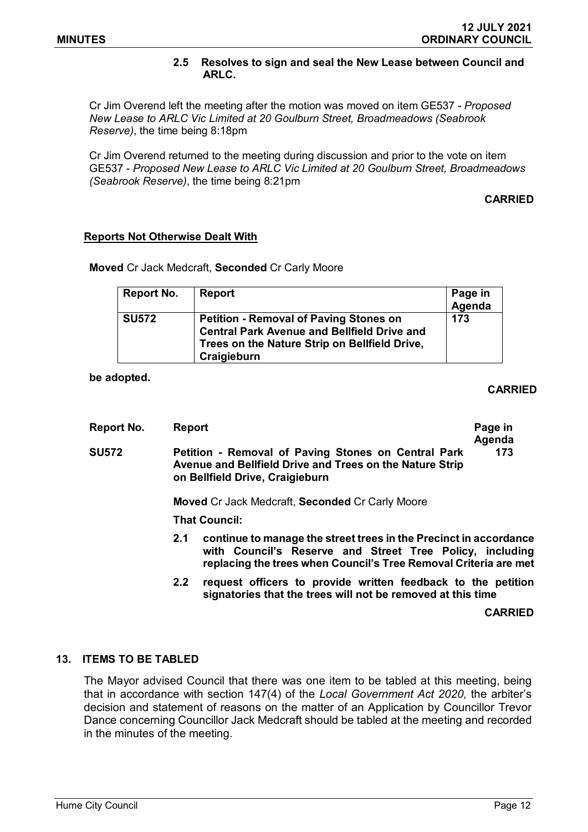## **2.5 Resolves to sign and seal the New Lease between Council and ARLC.**

Cr Jim Overend left the meeting after the motion was moved on item GE537 - *Proposed New Lease to ARLC Vic Limited at 20 Goulburn Street, Broadmeadows (Seabrook Reserve)*, the time being 8:18pm

Cr Jim Overend returned to the meeting during discussion and prior to the vote on item GE537 - *Proposed New Lease to ARLC Vic Limited at 20 Goulburn Street, Broadmeadows (Seabrook Reserve)*, the time being 8:21pm

**CARRIED**

## **Reports Not Otherwise Dealt With**

**Moved** Cr Jack Medcraft, **Seconded** Cr Carly Moore

| Report No.   | Report                                                                                                                                                              | Page in<br>Agenda |
|--------------|---------------------------------------------------------------------------------------------------------------------------------------------------------------------|-------------------|
| <b>SU572</b> | <b>Petition - Removal of Paving Stones on</b><br><b>Central Park Avenue and Bellfield Drive and</b><br>Trees on the Nature Strip on Bellfield Drive,<br>Craigieburn | 173               |

**be adopted.**

### **CARRIED**

| Report No.   | <b>Report</b>                                          |                                                                                                                                                                                                   | Page in<br>Agenda |  |
|--------------|--------------------------------------------------------|---------------------------------------------------------------------------------------------------------------------------------------------------------------------------------------------------|-------------------|--|
| <b>SU572</b> |                                                        | 173<br>Petition - Removal of Paving Stones on Central Park<br>Avenue and Bellfield Drive and Trees on the Nature Strip<br>on Bellfield Drive, Craigieburn                                         |                   |  |
|              | <b>Moved Cr Jack Medcraft, Seconded Cr Carly Moore</b> |                                                                                                                                                                                                   |                   |  |
|              | <b>That Council:</b>                                   |                                                                                                                                                                                                   |                   |  |
|              | 2.1                                                    | continue to manage the street trees in the Precinct in accordance<br>with Council's Reserve and Street Tree Policy, including<br>replacing the trees when Council's Tree Removal Criteria are met |                   |  |
|              | 2.2                                                    | request officers to provide written feedback to the petition<br>signatories that the trees will not be removed at this time                                                                       |                   |  |

**CARRIED**

## **13. ITEMS TO BE TABLED**

The Mayor advised Council that there was one item to be tabled at this meeting, being that in accordance with section 147(4) of the *Local Government Act 2020,* the arbiter's decision and statement of reasons on the matter of an Application by Councillor Trevor Dance concerning Councillor Jack Medcraft should be tabled at the meeting and recorded in the minutes of the meeting.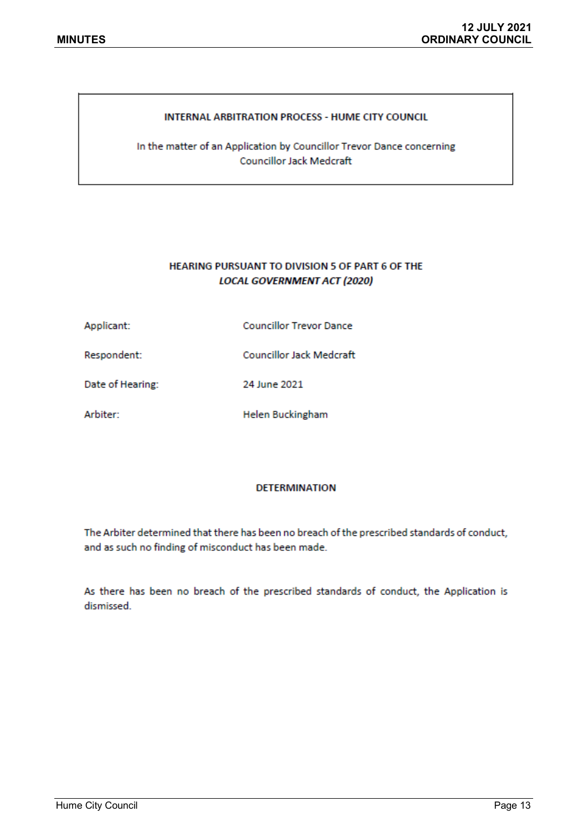#### **INTERNAL ARBITRATION PROCESS - HUME CITY COUNCIL**

In the matter of an Application by Councillor Trevor Dance concerning **Councillor Jack Medcraft** 

## HEARING PURSUANT TO DIVISION 5 OF PART 6 OF THE **LOCAL GOVERNMENT ACT (2020)**

| Applicant: | <b>Councillor Trevor Dance</b> |
|------------|--------------------------------|
|            |                                |

Respondent: **Councillor Jack Medcraft** 

24 June 2021 Date of Hearing:

Arbiter: **Helen Buckingham** 

#### **DETERMINATION**

The Arbiter determined that there has been no breach of the prescribed standards of conduct, and as such no finding of misconduct has been made.

As there has been no breach of the prescribed standards of conduct, the Application is dismissed.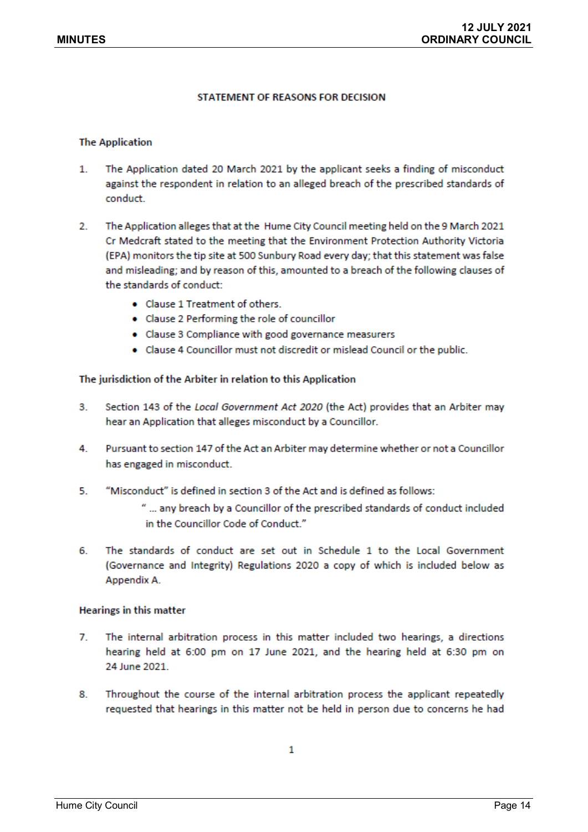#### STATEMENT OF REASONS FOR DECISION

#### **The Application**

- $\mathbf{1}$ . The Application dated 20 March 2021 by the applicant seeks a finding of misconduct against the respondent in relation to an alleged breach of the prescribed standards of conduct.
- $2.$ The Application alleges that at the Hume City Council meeting held on the 9 March 2021 Cr Medcraft stated to the meeting that the Environment Protection Authority Victoria (EPA) monitors the tip site at 500 Sunbury Road every day; that this statement was false and misleading; and by reason of this, amounted to a breach of the following clauses of the standards of conduct:
	- Clause 1 Treatment of others.
	- Clause 2 Performing the role of councillor
	- Clause 3 Compliance with good governance measurers
	- . Clause 4 Councillor must not discredit or mislead Council or the public.

#### The jurisdiction of the Arbiter in relation to this Application

- 3. Section 143 of the Local Government Act 2020 (the Act) provides that an Arbiter may hear an Application that alleges misconduct by a Councillor.
- $4.$ Pursuant to section 147 of the Act an Arbiter may determine whether or not a Councillor has engaged in misconduct.
- 5. "Misconduct" is defined in section 3 of the Act and is defined as follows:
	- " ... any breach by a Councillor of the prescribed standards of conduct included in the Councillor Code of Conduct."
- The standards of conduct are set out in Schedule 1 to the Local Government 6. (Governance and Integrity) Regulations 2020 a copy of which is included below as Appendix A.

#### **Hearings in this matter**

- $\overline{7}$ The internal arbitration process in this matter included two hearings, a directions hearing held at 6:00 pm on 17 June 2021, and the hearing held at 6:30 pm on 24 June 2021.
- 8. Throughout the course of the internal arbitration process the applicant repeatedly requested that hearings in this matter not be held in person due to concerns he had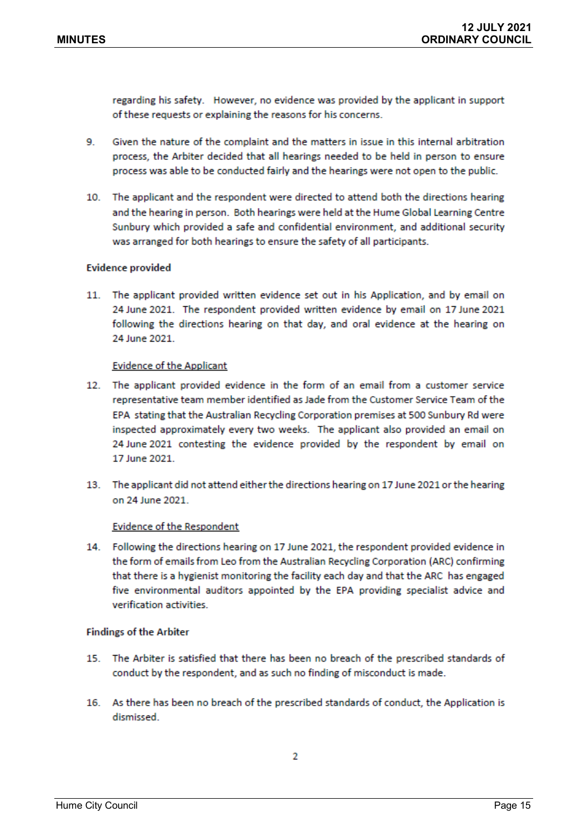regarding his safety. However, no evidence was provided by the applicant in support of these requests or explaining the reasons for his concerns.

- 9. Given the nature of the complaint and the matters in issue in this internal arbitration process, the Arbiter decided that all hearings needed to be held in person to ensure process was able to be conducted fairly and the hearings were not open to the public.
- 10. The applicant and the respondent were directed to attend both the directions hearing and the hearing in person. Both hearings were held at the Hume Global Learning Centre Sunbury which provided a safe and confidential environment, and additional security was arranged for both hearings to ensure the safety of all participants.

#### **Evidence provided**

11. The applicant provided written evidence set out in his Application, and by email on 24 June 2021. The respondent provided written evidence by email on 17 June 2021 following the directions hearing on that day, and oral evidence at the hearing on 24 June 2021.

#### **Evidence of the Applicant**

- 12. The applicant provided evidence in the form of an email from a customer service representative team member identified as Jade from the Customer Service Team of the EPA stating that the Australian Recycling Corporation premises at 500 Sunbury Rd were inspected approximately every two weeks. The applicant also provided an email on 24 June 2021 contesting the evidence provided by the respondent by email on 17 June 2021
- 13. The applicant did not attend either the directions hearing on 17 June 2021 or the hearing on 24 June 2021

#### **Evidence of the Respondent**

14. Following the directions hearing on 17 June 2021, the respondent provided evidence in the form of emails from Leo from the Australian Recycling Corporation (ARC) confirming that there is a hygienist monitoring the facility each day and that the ARC has engaged five environmental auditors appointed by the EPA providing specialist advice and verification activities.

#### **Findings of the Arbiter**

- 15. The Arbiter is satisfied that there has been no breach of the prescribed standards of conduct by the respondent, and as such no finding of misconduct is made.
- 16. As there has been no breach of the prescribed standards of conduct, the Application is dismissed.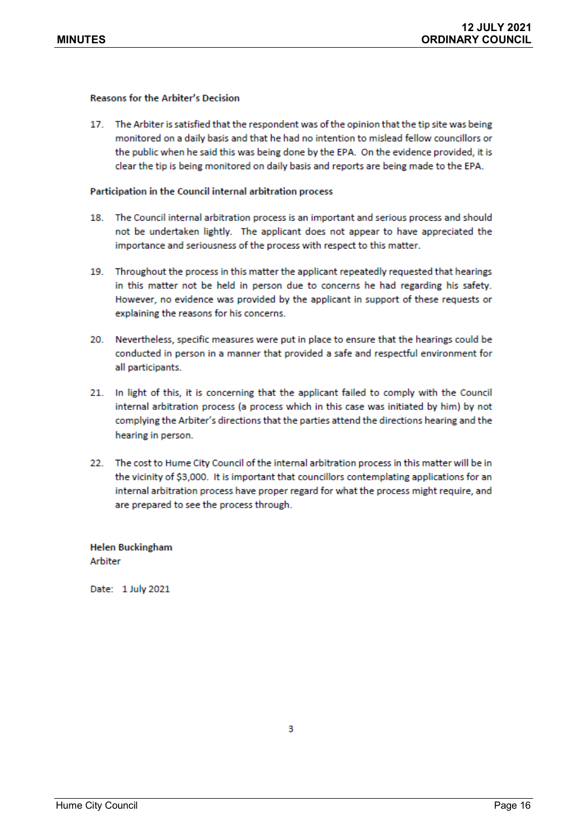#### **Reasons for the Arbiter's Decision**

17. The Arbiter is satisfied that the respondent was of the opinion that the tip site was being monitored on a daily basis and that he had no intention to mislead fellow councillors or the public when he said this was being done by the EPA. On the evidence provided, it is clear the tip is being monitored on daily basis and reports are being made to the EPA.

#### Participation in the Council internal arbitration process

- 18. The Council internal arbitration process is an important and serious process and should not be undertaken lightly. The applicant does not appear to have appreciated the importance and seriousness of the process with respect to this matter.
- 19. Throughout the process in this matter the applicant repeatedly requested that hearings in this matter not be held in person due to concerns he had regarding his safety. However, no evidence was provided by the applicant in support of these requests or explaining the reasons for his concerns.
- 20. Nevertheless, specific measures were put in place to ensure that the hearings could be conducted in person in a manner that provided a safe and respectful environment for all participants.
- 21. In light of this, it is concerning that the applicant failed to comply with the Council internal arbitration process (a process which in this case was initiated by him) by not complying the Arbiter's directions that the parties attend the directions hearing and the hearing in person.
- 22. The cost to Hume City Council of the internal arbitration process in this matter will be in the vicinity of \$3,000. It is important that councillors contemplating applications for an internal arbitration process have proper regard for what the process might require, and are prepared to see the process through.

**Helen Buckingham** Arbiter

Date: 1 July 2021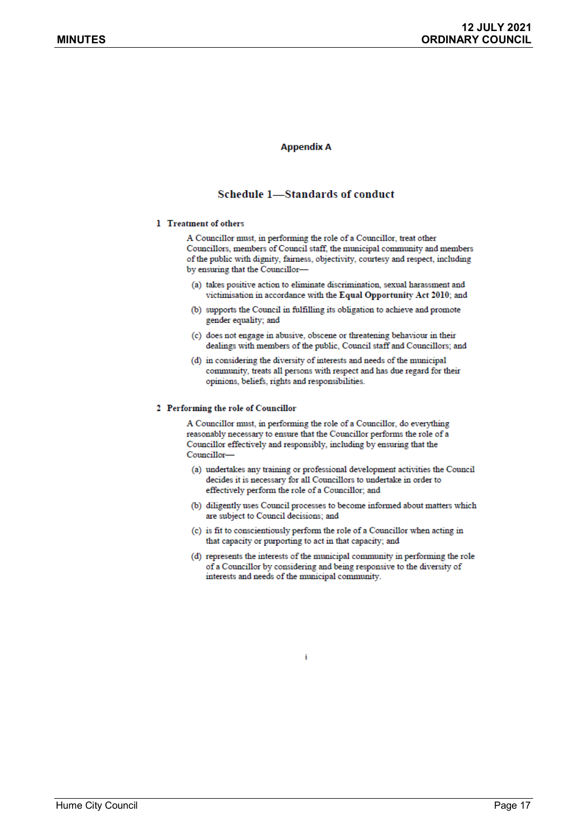#### **Appendix A**

#### Schedule 1-Standards of conduct

#### 1 Treatment of others

A Councillor must, in performing the role of a Councillor, treat other Councillors, members of Council staff, the municipal community and members of the public with dignity, fairness, objectivity, courtesy and respect, including by ensuring that the Councillor-

- (a) takes positive action to eliminate discrimination, sexual harassment and victimisation in accordance with the Equal Opportunity Act 2010; and
- (b) supports the Council in fulfilling its obligation to achieve and promote gender equality; and
- (c) does not engage in abusive, obscene or threatening behaviour in their dealings with members of the public, Council staff and Councillors; and
- (d) in considering the diversity of interests and needs of the municipal community, treats all persons with respect and has due regard for their opinions, beliefs, rights and responsibilities.

#### 2 Performing the role of Councillor

A Councillor must, in performing the role of a Councillor, do everything reasonably necessary to ensure that the Councillor performs the role of a Councillor effectively and responsibly, including by ensuring that the Councillor-

- (a) undertakes any training or professional development activities the Council decides it is necessary for all Councillors to undertake in order to effectively perform the role of a Councillor; and
- (b) diligently uses Council processes to become informed about matters which are subject to Council decisions; and
- (c) is fit to conscientiously perform the role of a Councillor when acting in that capacity or purporting to act in that capacity; and
- (d) represents the interests of the municipal community in performing the role of a Councillor by considering and being responsive to the diversity of interests and needs of the municipal community.

î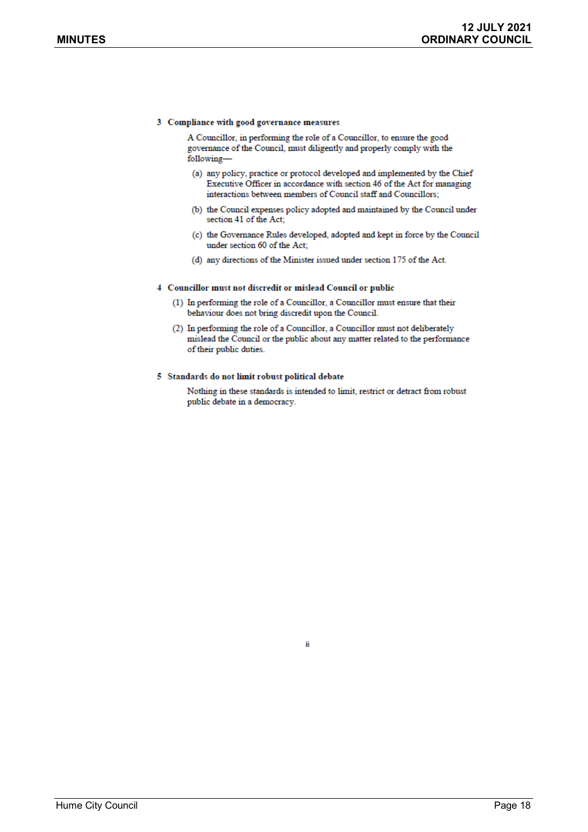#### 3 Compliance with good governance measures

A Councillor, in performing the role of a Councillor, to ensure the good governance of the Council, must diligently and properly comply with the following-

- (a) any policy, practice or protocol developed and implemented by the Chief Executive Officer in accordance with section 46 of the Act for managing interactions between members of Council staff and Councillors;
- (b) the Council expenses policy adopted and maintained by the Council under section 41 of the Act;
- (c) the Governance Rules developed, adopted and kept in force by the Council under section 60 of the Act:
- (d) any directions of the Minister issued under section 175 of the Act.

#### 4 Councillor must not discredit or mislead Council or public

- (1) In performing the role of a Councillor, a Councillor must ensure that their behaviour does not bring discredit upon the Council.
- (2) In performing the role of a Councillor, a Councillor must not deliberately mislead the Council or the public about any matter related to the performance of their public duties.

#### 5 Standards do not limit robust political debate

Nothing in these standards is intended to limit, restrict or detract from robust public debate in a democracy.

ij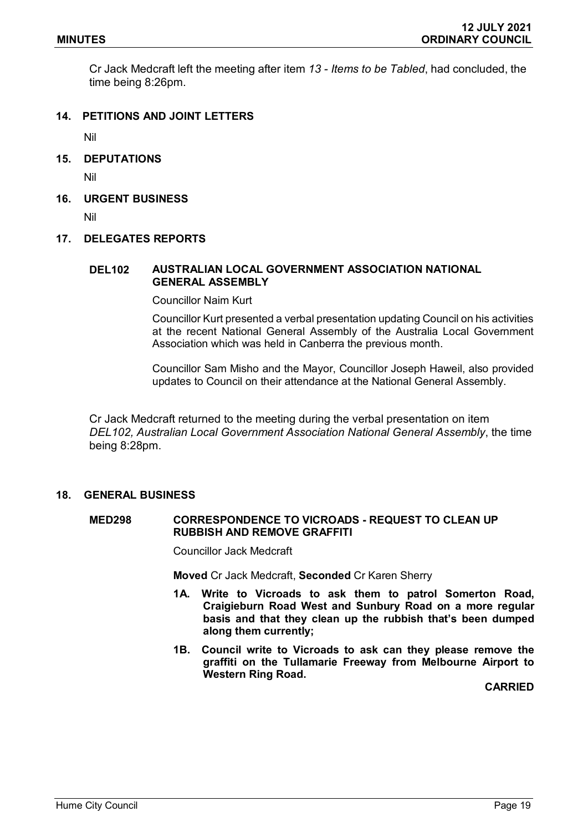Cr Jack Medcraft left the meeting after item *13 - Items to be Tabled*, had concluded, the time being 8:26pm.

## **14. PETITIONS AND JOINT LETTERS**

Nil

**15. DEPUTATIONS**

Nil

**16. URGENT BUSINESS**

Nil

#### **17. DELEGATES REPORTS**

### **DEL102 AUSTRALIAN LOCAL GOVERNMENT ASSOCIATION NATIONAL GENERAL ASSEMBLY**

Councillor Naim Kurt

Councillor Kurt presented a verbal presentation updating Council on his activities at the recent National General Assembly of the Australia Local Government Association which was held in Canberra the previous month.

Councillor Sam Misho and the Mayor, Councillor Joseph Haweil, also provided updates to Council on their attendance at the National General Assembly.

Cr Jack Medcraft returned to the meeting during the verbal presentation on item *DEL102, Australian Local Government Association National General Assembly*, the time being 8:28pm.

## **18. GENERAL BUSINESS**

## **MED298 CORRESPONDENCE TO VICROADS - REQUEST TO CLEAN UP RUBBISH AND REMOVE GRAFFITI**

Councillor Jack Medcraft

**Moved** Cr Jack Medcraft, **Seconded** Cr Karen Sherry

- **1A. Write to Vicroads to ask them to patrol Somerton Road, Craigieburn Road West and Sunbury Road on a more regular basis and that they clean up the rubbish that's been dumped along them currently;**
- **1B. Council write to Vicroads to ask can they please remove the graffiti on the Tullamarie Freeway from Melbourne Airport to Western Ring Road.**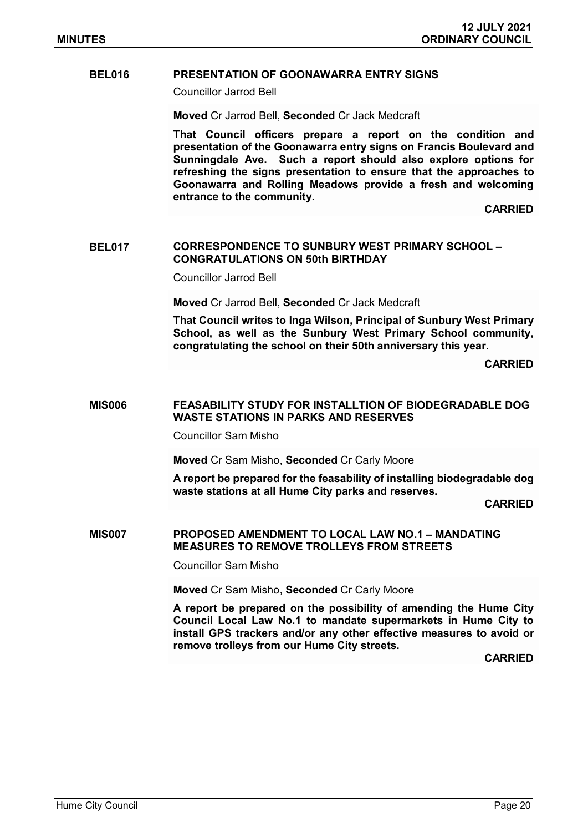## **BEL016 PRESENTATION OF GOONAWARRA ENTRY SIGNS**

Councillor Jarrod Bell

**Moved** Cr Jarrod Bell, **Seconded** Cr Jack Medcraft

**That Council officers prepare a report on the condition and presentation of the Goonawarra entry signs on Francis Boulevard and Sunningdale Ave. Such a report should also explore options for refreshing the signs presentation to ensure that the approaches to Goonawarra and Rolling Meadows provide a fresh and welcoming entrance to the community.**

**CARRIED**

#### **BEL017 CORRESPONDENCE TO SUNBURY WEST PRIMARY SCHOOL – CONGRATULATIONS ON 50th BIRTHDAY**

Councillor Jarrod Bell

**Moved** Cr Jarrod Bell, **Seconded** Cr Jack Medcraft

**That Council writes to Inga Wilson, Principal of Sunbury West Primary School, as well as the Sunbury West Primary School community, congratulating the school on their 50th anniversary this year.** 

**CARRIED**

### **MIS006 FEASABILITY STUDY FOR INSTALLTION OF BIODEGRADABLE DOG WASTE STATIONS IN PARKS AND RESERVES**

Councillor Sam Misho

**Moved** Cr Sam Misho, **Seconded** Cr Carly Moore

**A report be prepared for the feasability of installing biodegradable dog waste stations at all Hume City parks and reserves.** 

**CARRIED**

#### **MIS007 PROPOSED AMENDMENT TO LOCAL LAW NO.1 – MANDATING MEASURES TO REMOVE TROLLEYS FROM STREETS**

Councillor Sam Misho

**Moved** Cr Sam Misho, **Seconded** Cr Carly Moore

**A report be prepared on the possibility of amending the Hume City Council Local Law No.1 to mandate supermarkets in Hume City to install GPS trackers and/or any other effective measures to avoid or remove trolleys from our Hume City streets.**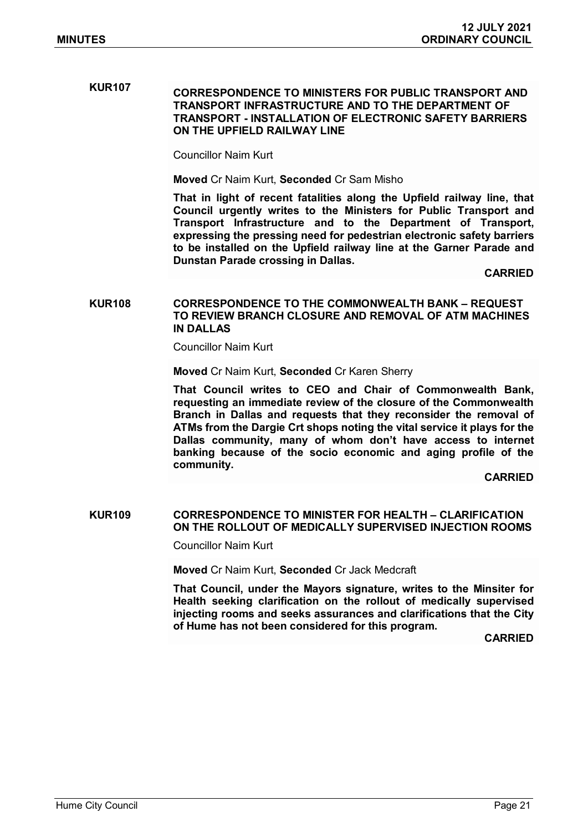# **KUR107 CORRESPONDENCE TO MINISTERS FOR PUBLIC TRANSPORT AND TRANSPORT INFRASTRUCTURE AND TO THE DEPARTMENT OF TRANSPORT - INSTALLATION OF ELECTRONIC SAFETY BARRIERS ON THE UPFIELD RAILWAY LINE**

Councillor Naim Kurt

**Moved** Cr Naim Kurt, **Seconded** Cr Sam Misho

**That in light of recent fatalities along the Upfield railway line, that Council urgently writes to the Ministers for Public Transport and Transport Infrastructure and to the Department of Transport, expressing the pressing need for pedestrian electronic safety barriers to be installed on the Upfield railway line at the Garner Parade and Dunstan Parade crossing in Dallas.**

**CARRIED**

### **KUR108 CORRESPONDENCE TO THE COMMONWEALTH BANK – REQUEST TO REVIEW BRANCH CLOSURE AND REMOVAL OF ATM MACHINES IN DALLAS**

Councillor Naim Kurt

**Moved** Cr Naim Kurt, **Seconded** Cr Karen Sherry

**That Council writes to CEO and Chair of Commonwealth Bank, requesting an immediate review of the closure of the Commonwealth Branch in Dallas and requests that they reconsider the removal of ATMs from the Dargie Crt shops noting the vital service it plays for the Dallas community, many of whom don't have access to internet banking because of the socio economic and aging profile of the community.**

**CARRIED**

## **KUR109 CORRESPONDENCE TO MINISTER FOR HEALTH – CLARIFICATION ON THE ROLLOUT OF MEDICALLY SUPERVISED INJECTION ROOMS**

Councillor Naim Kurt

**Moved** Cr Naim Kurt, **Seconded** Cr Jack Medcraft

**That Council, under the Mayors signature, writes to the Minsiter for Health seeking clarification on the rollout of medically supervised injecting rooms and seeks assurances and clarifications that the City of Hume has not been considered for this program.**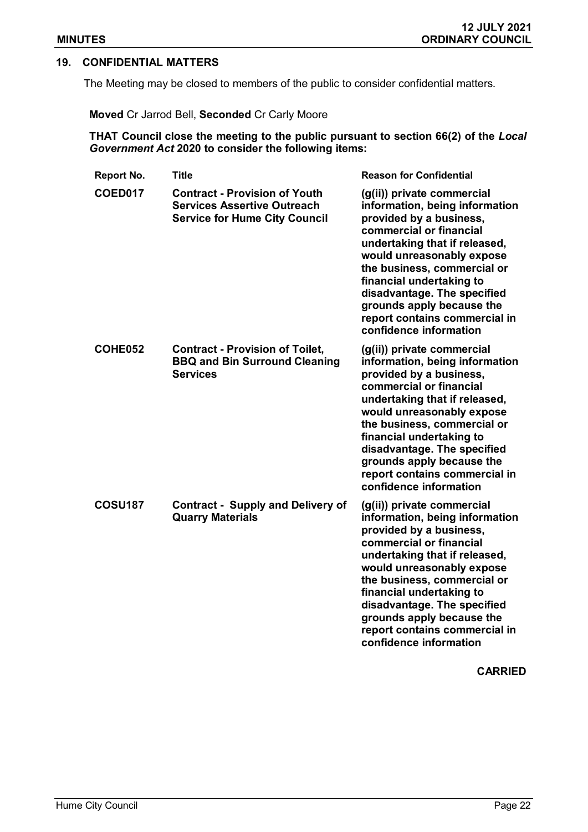## **19. CONFIDENTIAL MATTERS**

The Meeting may be closed to members of the public to consider confidential matters.

**Moved** Cr Jarrod Bell, **Seconded** Cr Carly Moore

**THAT Council close the meeting to the public pursuant to section 66(2) of the** *Local Government Act* **2020 to consider the following items:**

| Report No.     | <b>Title</b>                                                                                                       | <b>Reason for Confidential</b>                                                                                                                                                                                                                                                                                                                                     |
|----------------|--------------------------------------------------------------------------------------------------------------------|--------------------------------------------------------------------------------------------------------------------------------------------------------------------------------------------------------------------------------------------------------------------------------------------------------------------------------------------------------------------|
| <b>COED017</b> | <b>Contract - Provision of Youth</b><br><b>Services Assertive Outreach</b><br><b>Service for Hume City Council</b> | (g(ii)) private commercial<br>information, being information<br>provided by a business,<br>commercial or financial<br>undertaking that if released,<br>would unreasonably expose<br>the business, commercial or<br>financial undertaking to<br>disadvantage. The specified<br>grounds apply because the<br>report contains commercial in<br>confidence information |
| COHE052        | <b>Contract - Provision of Toilet,</b><br><b>BBQ and Bin Surround Cleaning</b><br><b>Services</b>                  | (g(ii)) private commercial<br>information, being information<br>provided by a business,<br>commercial or financial<br>undertaking that if released,<br>would unreasonably expose<br>the business, commercial or<br>financial undertaking to<br>disadvantage. The specified<br>grounds apply because the<br>report contains commercial in<br>confidence information |
| <b>COSU187</b> | <b>Contract - Supply and Delivery of</b><br><b>Quarry Materials</b>                                                | (g(ii)) private commercial<br>information, being information<br>provided by a business,<br>commercial or financial<br>undertaking that if released,<br>would unreasonably expose<br>the business, commercial or<br>financial undertaking to<br>disadvantage. The specified<br>grounds apply because the<br>report contains commercial in<br>confidence information |